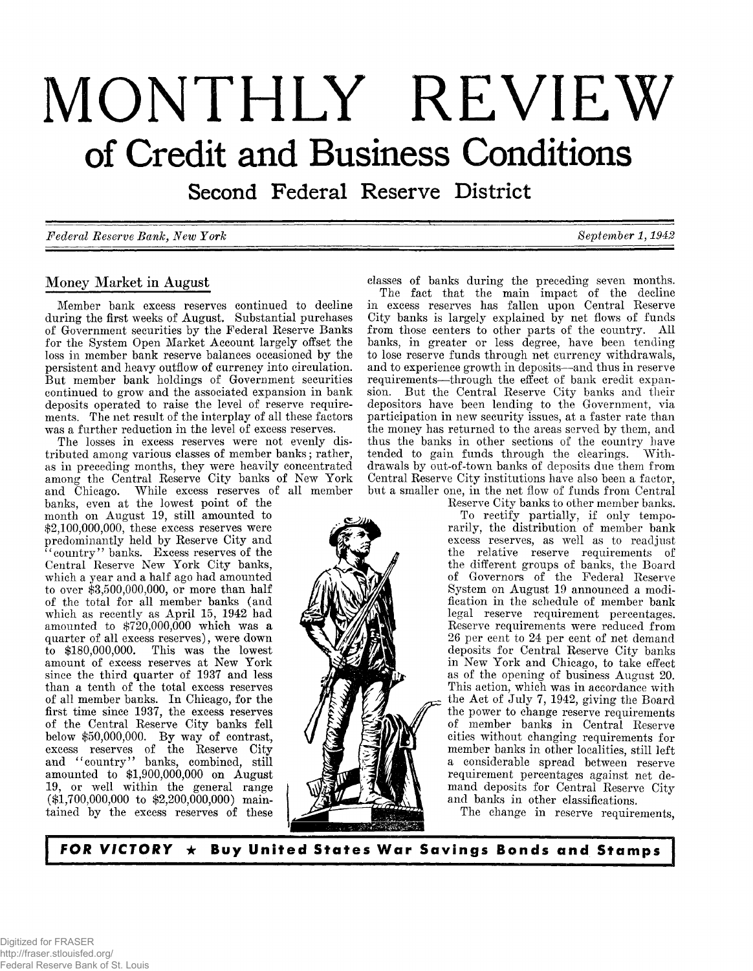# **MONTHLY REVIEW of Credit and Business Conditions**

Second Federal Reserve District

*Federal Eeserve Bank> New York September 1,1942*

# **Money Market in August**

**Member bank excess reserves continued to decline during the first weeks of August. Substantial purchases of Government securities by the Federal Reserve Banks for the System Open Market Account largely offset the loss in member bank reserve balances occasioned by the persistent and heavy outflow of currency into circulation. But member bank holdings of Government securities continued to grow and the associated expansion in bank deposits operated to raise the level of reserve requirements. The net result of the interplay of all these factors was a further reduction in the level of excess reserves.**

**The losses in excess reserves were not evenly distributed among various classes of member banks; rather, as in preceding months, they were heavily concentrated among the Central Reserve City banks of New York and Chicago. While excess reserves of all member**

**banks, even at the lowest point of the month on August 19, still amounted to \$2,100,000,000, these excess reserves were predominantly held by Reserve City and " country" banks. Excess reserves of the Central Reserve New York City banks, which a year and a half ago had amounted to over \$3,500,000,000, or more than half of the total for all member banks (and which as recently as April 15, 1942 had amounted to \$720,000,000 which was a quarter of all excess reserves), were down to \$180,000,000. This was the lowest amount of excess reserves at New York since the third quarter of 1937 and less than a tenth of the total excess reserves of all member banks. In Chicago, for the first time since 1937, the excess reserves of the Central Reserve City banks fell below \$50,000,000. By way of contrast, excess reserves of the Reserve City and ' ' country** *' 9* **banks, combined, still amounted to \$1,900,000,000 on August 19, or well within the general range (\$1,700,000,000 to \$2,200,000,000) maintained by the excess reserves of these** **classes of banks during the preceding seven months.**

**The fact that the main impact of the decline in excess reserves has fallen upon Central Reserve City banks is largely explained by net flows of funds from those centers to other parts of the country. All banks, in greater or less degree, have been tending to lose reserve funds through net currency withdrawals, and to experience growth in deposits— and thus in reserve requirements— through the effect of bank credit expansion. But the Central Reserve City banks and their depositors have been lending to the Government, via participation in new security issues, at a faster rate than the money has returned to the areas served by them, and thus the banks in other sections of the country have tended to gain funds through the clearings. Withdrawals by out-of-town banks of deposits due them from Central Reserve City institutions have also been a factor, but a smaller one, in the net flow of funds from Central**

**Reserve City banks to other member banks. To rectify partially, if only temporarily, the distribution of member bank excess reserves, as well as to readjust the relative reserve requirements of the different groups of banks, the Board of Governors of the Federal Reserve System on August 19 announced a modification in the schedule of member bank legal reserve requirement percentages. Reserve requirements were reduced from 26 per cent to 24 per cent of net demand deposits for Central Reserve City banks in New York and Chicago, to take effect as of the opening of business August 20. This action, which was in accordance with the Act of July 7, 1942, giving the Board the power to change reserve requirements of member banks in Central Reserve cities without changing requirements for member banks in other localities, still left a considerable spread between reserve requirement percentages against net demand deposits for Central Reserve City and banks in other classifications.**

**The change in reserve requirements,**

*FOR VICTORY*  $\star$  Buy United States War Savings Bonds and Stamps

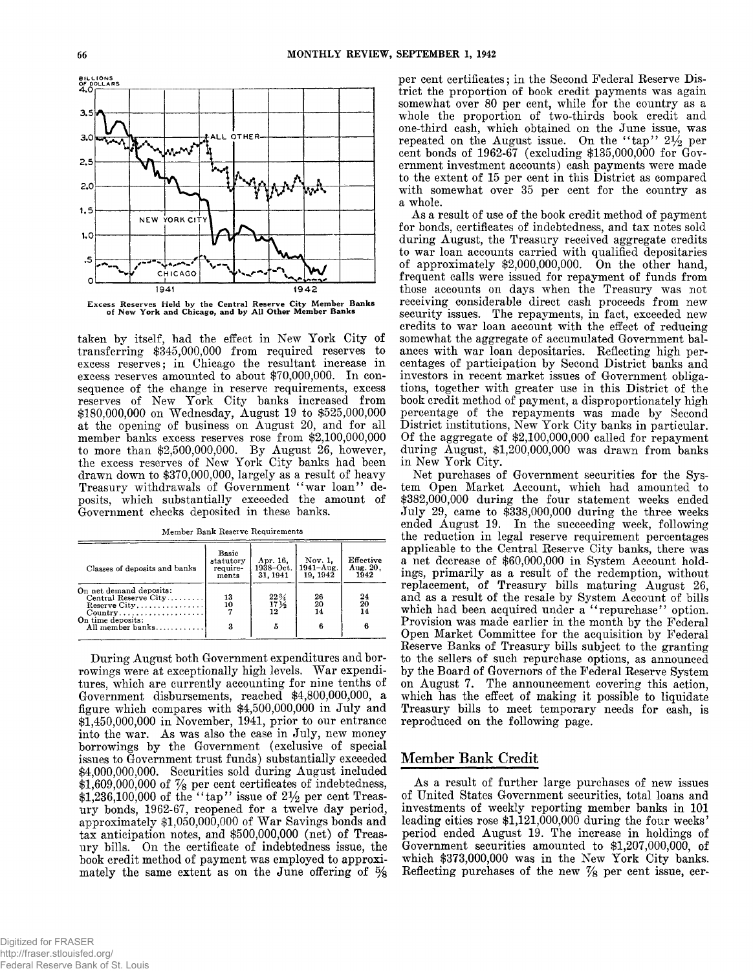



**taken by itself, had the effect in New York City of transferring \$345,000,000 from required reserves to excess reserves; in Chicago the resultant increase in excess reserves amounted to about \$70,000,000. In consequence of the change in reserve requirements, excess reserves of New York City banks increased from \$180,000,000 on Wednesday, August 19 to \$525,000,000 at the opening of business on August 20, and for all member banks excess reserves rose from \$2,100,000,000 to more than \$2,500,000,000. By August 26, however, the excess reserves of New York City banks had been drawn down to \$370,000,000, largely as a result of heavy Treasury withdrawals of Government " war loan" deposits, which substantially exceeded the amount of Government checks deposited in these banks.**

**Member Bank Reserve Requirements**

| Classes of deposits and banks                                                                                                                                                        | Basic<br>statutory<br>require-<br>ments | Apr. 16.<br>31, 1941                     | Nov. 1.<br>$1938 - Oct.$   $1941 - Aug.$<br>19.1942 | Effective<br>Aug. 20,<br>1942 |
|--------------------------------------------------------------------------------------------------------------------------------------------------------------------------------------|-----------------------------------------|------------------------------------------|-----------------------------------------------------|-------------------------------|
| On net demand deposits:<br>Central Reserve City<br>Reserve City. $\dots \dots \dots \dots$<br>$Country \dots \dots \dots \dots \dots \dots$<br>On time deposits:<br>All member banks | 13<br>10<br>3                           | $^{22}_{17}\frac{3}{12}$<br>$12 \,$<br>5 | 26<br>20<br>14                                      | 24<br>20<br>14                |

**During August both Government expenditures and borrowings were at exceptionally high levels. War expenditures, which are currently accounting for nine tenths of Government disbursements, reached \$4,800,000,000, a figure which compares with \$4,500,000,000 in July and \$1,450,000,000 in November, 1941, prior to our entrance into the war. As was also the case in July, new money borrowings by the Government (exclusive of special issues to Government trust funds) substantially exceeded \$4,000,000,000. Securities sold during August included \$1,609,000,000 of % per cent certificates of indebtedness, \$1,236,100,000 of the " tap" issue of 2% per cent Treasury bonds, 1962-67, reopened for a twelve day period, approximately \$1,050,000,000 of War Savings bonds and tax anticipation notes, and \$500,000,000 (net) of Treasury bills. On the certificate of indebtedness issue, the book credit method of payment was employed to approximately the same extent as on the June offering of** *%*

**per cent certificates; in the Second Federal Reserve District the proportion of book credit payments was again somewhat over 80 per cent, while for the country as a whole the proportion of two-thirds book credit and one-third cash, which obtained on the June issue, was** repeated on the August issue. On the " $tap$ "  $2\frac{1}{2}$  per **cent bonds of 1962-67 (excluding \$135,000,000 for Government investment accounts) cash payments were made to the extent of 15 per cent in this District as compared with somewhat over 35 per cent for the country as a whole.**

**As a result of use of the book credit method of payment for bonds, certificates of indebtedness, and tax notes sold during August, the Treasury received aggregate credits to war loan accounts carried with qualified depositaries of approximately \$2,000,000,000. On the other hand, frequent calls were issued for repayment of funds from those accounts on days when the Treasury was not receiving considerable direct cash proceeds from new security issues. The repayments, in fact, exceeded new credits to war loan account with the effect of reducing somewhat the aggregate of accumulated Government balances with war loan depositaries. Reflecting high percentages of participation by Second District banks and investors in recent market issues of Government obligations, together with greater use in this District of the book credit method of payment, a disproportionately high percentage of the repayments was made by Second District institutions, New York City banks in particular. Of the aggregate of \$2,100,000,000 called for repayment during August, \$1,200,000,000 was drawn from banks in New York City.**

**Net purchases of Government securities for the System Open Market Account, which had amounted to \$382,000,000 during the four statement weeks ended July 29, came to \$338,000,000 during the three weeks ended August 19. In the succeeding week, following the reduction in legal reserve requirement percentages applicable to the Central Reserve City banks, there was a net decrease of \$60,000,000 in System Account holdings, primarily as a result of the redemption, without replacement, of Treasury bills maturing August 26, and as a result of the resale by System Account of bills** which had been acquired under a "repurchase" option. **Provision was made earlier in the month by the Federal Open Market Committee for the acquisition by Federal Reserve Banks of Treasury bills subject to the granting to the sellers of such repurchase options, as announced by the Board of Governors of the Federal Reserve System on August 7. The announcement covering this action, which has the effect of making it possible to liquidate Treasury bills to meet temporary needs for cash, is reproduced on the following page.**

## **Member Bank Credit**

**As a result of further large purchases of new issues of United States Government securities, total loans and investments of weekly reporting member banks in 101 leading cities rose \$1,121,000,000 during the four weeks' period ended August 19. The increase in holdings of Government securities amounted to \$1,207,000,000, of which \$373,000,000 was in the New York City banks. Reflecting purchases of the new** *%* **per cent issue, cer-**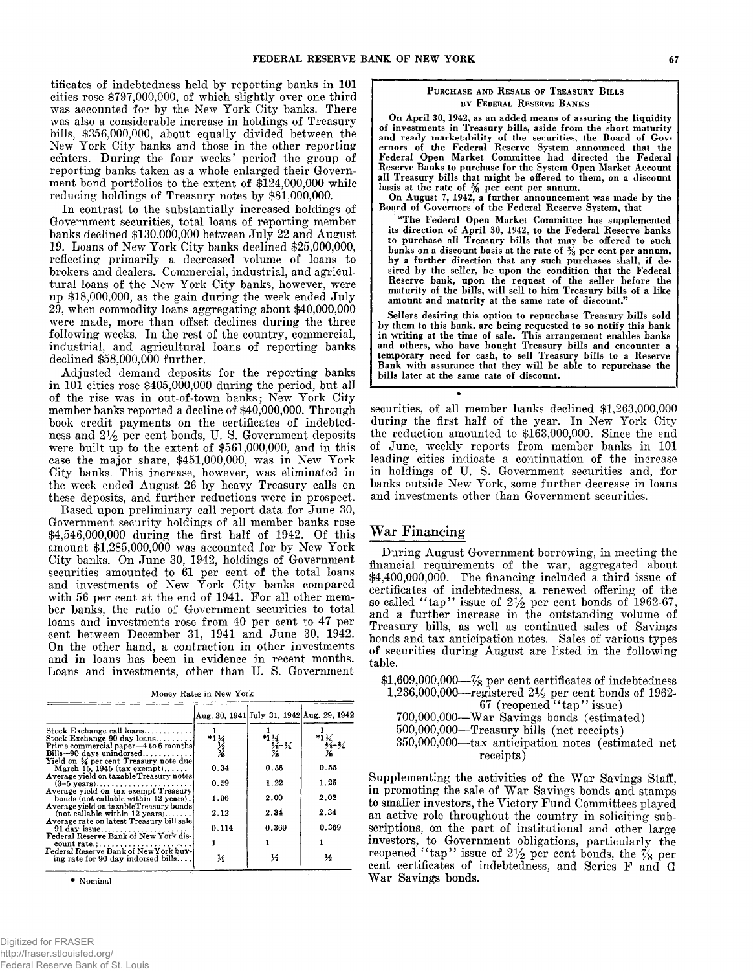**tificates of indebtedness held by reporting banks in 101 cities rose \$797,000,000, of which slightly over one third was accounted for by the New York City banks. There was also a considerable increase in holdings of Treasury bills, \$356,000,000, about equally divided between the New York City banks and those in the other reporting centers. During the four weeks' period the group of reporting banks taken as a whole enlarged their Government bond portfolios to the extent of \$124,000,000 while reducing holdings of Treasury notes by \$81,000,000.**

**In contrast to the substantially increased holdings of Government securities, total loans of reporting member banks declined \$130,000,000 between July 22 and August 19. Loans of New York City banks declined \$25,000,000, reflecting primarily a decreased volume of loans to brokers and dealers. Commercial, industrial, and agricultural loans of the New York City banks, however, were up \$18,000,000, as the gain during the week ended July 29, when commodity loans aggregating about \$40,000,000 were made, more than offset declines during the three following weeks. In the rest of the country, commercial, industrial, and agricultural loans of reporting banks declined \$58,000,000 further.**

**Adjusted demand deposits for the reporting banks in 101 cities rose \$405,000,000 during the period, but all of the rise was in out-of-town banks; New York City member banks reported a decline of \$40,000,000. Through book credit payments on the certificates of indebtedness and 2% per cent bonds, U. S. Government deposits were built up to the extent of \$56.1,000,000, and in this case the major share, \$451,000,000, was in New York City banks. This increase, however, was eliminated in the week ended August 26 by heavy Treasury calls on these deposits, and further reductions were in prospect.**

**Based upon preliminary call report data for June 30, Government security holdings of all member banks rose \$4,546,000,000 during the first half of 1942. Of this amount \$1,285,000,000 was accounted for by New York City banks. On June 30, 1942, holdings of Government securities amounted to 61 per cent of the total loans and investments of New York City banks compared with 56 per cent at the end of 1941. For all other member banks, the ratio of Government securities to total loans and investments rose from 40 per cent to 47 per cent between December 31, 1941 and June 30, 1942. On the other hand, a contraction in other investments and in loans has been in evidence in recent months. Loans and investments, other than U. S. Government**

| Money Rates in New York |  |  |
|-------------------------|--|--|
|-------------------------|--|--|

|                                                                                                            |                                      | Aug. 30, 1941 July 31, 1942 Aug. 29, 1942         |                                                   |
|------------------------------------------------------------------------------------------------------------|--------------------------------------|---------------------------------------------------|---------------------------------------------------|
| Stock Exchange call $\{loans \ldots \}$                                                                    |                                      |                                                   |                                                   |
| Stock Exchange 90 day $\{$ loans                                                                           | $\frac{1}{1}$<br>$\frac{1}{12}$<br>% | *1 $\frac{1}{4}$<br>$\frac{5}{8}$ = $\frac{3}{4}$ | *1 $\frac{1}{2}$<br>$\frac{5}{6}$ - $\frac{3}{4}$ |
| Prime commercial paper-4 to 6 months                                                                       |                                      |                                                   |                                                   |
| $Bills - 90$ days unindorsed                                                                               |                                      |                                                   |                                                   |
| Yield on % per cent Treasury note due<br>March 15, 1945 $(\text{tax}$ exempt $), \ldots$                   | 0.34                                 | 0.56                                              | 0.55                                              |
| Average yield on taxable Treasury notes<br>$(3-5 \text{ years}) \dots \dots \dots \dots \dots \dots \dots$ | 0.59                                 | 1.22                                              | 1.25                                              |
| Average vield on tax exempt Treasury<br>bonds (not callable within 12 years).                              | 1.96                                 | 2.00                                              | 2.02                                              |
| Average vield on taxable Treasury bonds<br>$(not$ callable within 12 years)                                | 2.12                                 | 2.34                                              | 2.34                                              |
| Average rate on latest Treasury bill sale                                                                  | 0.114                                | 0.369                                             | 0.369                                             |
| 91 day issue<br>Federal Reserve Bank of New York dis-<br>count rate.:                                      |                                      |                                                   |                                                   |
| Federal Reserve Bank of New York buy-<br>ing rate for 90 day indorsed bills                                | ⅓                                    | ⅓                                                 | ⅓                                                 |

\* Nominal

### Purchase and Resale of Treasury Bills by Federal Reserve Banks

On April 30, 1942, as an added means of assuring the liquidity of investments in Treasury bills, aside from the short maturity and ready marketability of the securities, the Board of Governors of the Federal Reserve System announced that the Federal Open Market Committee had directed the Federal Reserve Banks to purchase for the System Open Market Account all Treasury bills that might be offered to them, on a discount basis at the rate of % per cent per annum.

On August 7, 1942, a further announcement was made by the Board of Governors of the Federal Reserve System, that

" The Federal Open Market Committee has supplemented its direction of April 30, 1942, to the Federal Reserve banks to purchase all Treasury bills that may be offered to 6uch banks on a discount basis at the rate of  $\frac{3}{8}$  per cent per annum, by a further direction that any such purchases shall, if desired by the seller, be upon the condition that the Federal Reserve bank, upon the request of the seller before the maturity of the bills, w ill sell to him Treasury bills of a like amount and maturity at the same rate of discount."

Sellers desiring this option to repurchase Treasury bills sold by them to this bank, are being requested to so notify this bank in writing at the time of sale. This arrangement enables banks and others, who have bought Treasury bills and encounter a temporary need for cash, to sell Treasury bills to a Reserve Bank with assurance that they will be able to repurchase the bills later at the same rate of discount.

**securities, of all member banks declined \$1,263,000,000 during the first half of the year. In New York City the reduction amounted to \$163,000,000. Since the end of June, weekly reports from member banks in 101 leading cities indicate a continuation of the increase in holdings of U. S. Government securities and, for banks outside New York, some further decrease in loans and investments other than Government securities.**

## **War Financing**

**During August Government borrowing, in meeting the financial requirements of the war, aggregated about \$4,400,000,000. The financing included a third issue of certificates of indebtedness, a renewed offering of the so-called " tap" issue of 2% per cent bonds of 1962-67, and a further increase in the outstanding volume of Treasury bills, as well as continued sales of Savings bonds and tax anticipation notes. Sales of various types of securities during August are listed in the following table.**

**\$1,609,000,000— % per cent certificates of indebtedness 1,236,000,000— registered 2***y2* **per cent bonds of 1962- 67 (reopened " tap" issue) 700.000.000— War Savings bonds (estimated) 500.000.000— Treasury bills (net receipts) 350.000.000— tax anticipation notes (estimated net receipts)**

**Supplementing the activities of the War Savings Staff, in promoting the sale of War Savings bonds and stamps to smaller investors, the Victory Fund Committees played an active role throughout the country in soliciting subscriptions, on the part of institutional and other large investors, to Government obligations, particularly the reopened " tap" issue of 2% per cent bonds, the % per cent certificates of indebtedness, and Series F and G War Savings bonds.**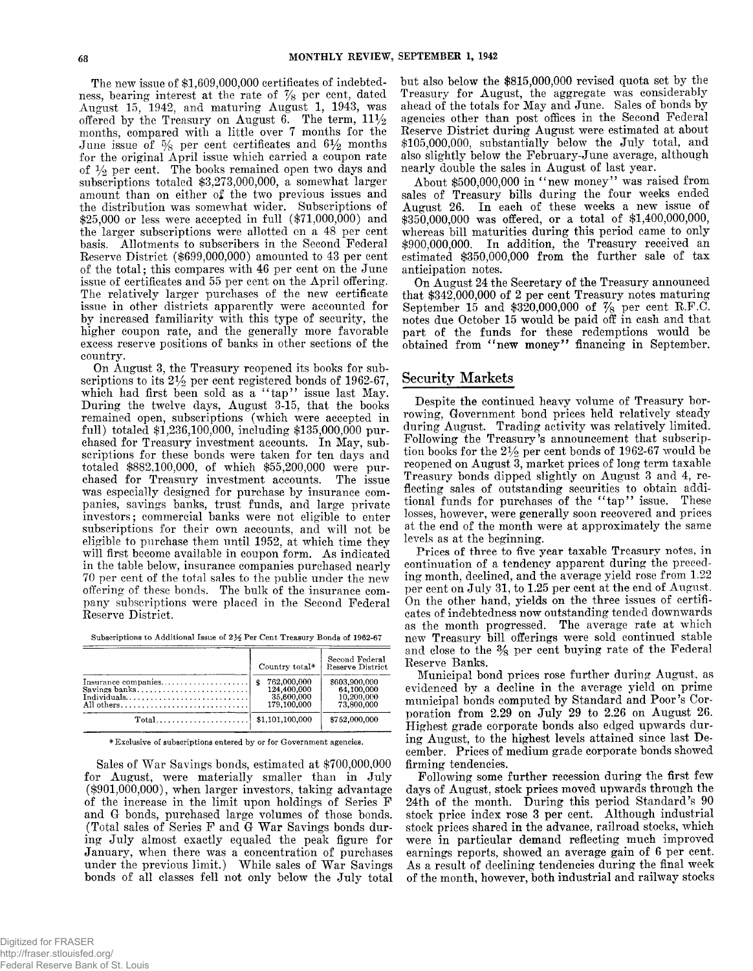**The new issue of \$1,609,000,000 certificates of indebted**ness, bearing interest at the rate of  $\frac{7}{8}$  per cent, dated **August 15, 1942, and maturing August 1, 1943, was** offered by the Treasury on August 6. The term,  $11\frac{1}{2}$ **months, compared with a little over 7 months for the** June issue of  $\frac{5}{8}$  per cent certificates and  $6\frac{1}{2}$  months **for the original April issue which carried a coupon rate** of  $\frac{1}{2}$  per cent. The books remained open two days and **subscriptions totaled \$3,273,000,000, a somewhat larger amount than on either of the two previous issues and the distribution was somewhat wider. Subscriptions of \$25,000 or less were accepted in full (\$71,000,000) and the larger subscriptions were allotted on a 48 per cent basis. Allotments to subscribers in the Second Federal Eeserve District (\$699,000,000) amounted to 43 per cent of the total; this compares with 46 per cent on the June issue of certificates and 55 per cent on the April offering. The relatively larger purchases of the new certificate issue in other districts apparently were accounted for by increased familiarity with this type of security, the higher coupon rate, and the generally more favorable excess reserve positions of banks in other sections of the country.**

**On August 3, the Treasury reopened its books for subscriptions to its 2% per cent registered bonds of 1962-67,** which had first been sold as a "tap" issue last May. **During the twelve days, August 3-15, that the books remained open, subscriptions (which were accepted in full) totaled \$1,236,100,000, including \$135,000,000 purchased for Treasury investment accounts. In May, subscriptions for these bonds were taken for ten days and totaled \$882,100,000, of which \$55,200,000 were purchased for Treasury investment accounts. The issue was especially designed for purchase by insurance companies, savings banks, trust funds, and large private investors ; commercial banks were not eligible to enter subscriptions for their own accounts, and will not be eligible to purchase them until 1952, at which time they will first become available in coupon form. As indicated in the table below, insurance companies purchased nearly 70 per cent of the total sales to the public under the new offering of these bonds. The bulk of the insurance company subscriptions were placed in the Second Federal Reserve District.**

Subscriptions to Additional Issue of 21/2 Per Cent Treasury Bonds of 1962-67

|                           | Country total*                                          | Second Federal<br><b>Reserve District</b>               |
|---------------------------|---------------------------------------------------------|---------------------------------------------------------|
| Individuals<br>All others | 762,000,000<br>124,400,000<br>35,600,000<br>179,100,000 | \$603,900,000<br>64.100.000<br>10,200,000<br>73,800,000 |
|                           |                                                         | \$752,000,000                                           |

**\* Exclusive of subscriptions entered by or for Government agencies.**

**Sales of War Savings bonds, estimated at \$700,000,000 for August, were materially smaller than in July (\$901,000,000), when larger investors, taking advantage of the increase in the limit upon holdings of Series F and G bonds, purchased large volumes of those bonds. (Total sales of Series F and G War Savings bonds during July almost exactly equaled the peak figure for January, when there was a concentration of purchases under the previous limit.) While sales of War Savings bonds of all classes fell not only below the July total**

**but also below the \$815,000,000 revised quota set by the Treasury for August, the aggregate was considerably ahead of the totals for May and June. Sales of bonds by agencies other than post offices in the Second Federal Reserve District during August were estimated at about \$105,000,000, substantially below the July total, and also slightly below the February-June average, although nearly double the sales in August of last year.**

**About \$500,000,000 in " new money" was raised from sales of Treasury bills during the four weeks ended August 26. In each of these weeks a new issue of \$350,000,000 was offered, or a total of \$1,400,000,000, whereas bill maturities during this period came to only \$900,000,000. In addition, the Treasury received an estimated \$350,000,000 from the further sale of tax anticipation notes.**

**On August 24 the Secretary of the Treasury announced that \$342,000,000 of 2 per cent Treasury notes maturing September 15 and \$320,000,000 of** *%* **per cent R.F.C. notes due October 15 would be paid off in cash and that part of the funds for these redemptions would be obtained from " new money" financing in September.**

# **Security Markets**

**Despite the continued heavy volume of Treasury borrowing, Government bond prices held relatively steady during August. Trading activity was relatively limited. Following the Treasury's announcement that subscrip**tion books for the  $2\frac{1}{2}$  per cent bonds of 1962-67 would be **reopened on August 3, market prices of long term taxable Treasury bonds dipped slightly on August 3 and 4, reflecting sales of outstanding securities to obtain additional funds for purchases of the " tap" issue. These losses, however, were generally soon recovered and prices at the end of the month were at approximately the same levels as at the beginning.**

**Prices of three to five year taxable Treasury notes, in continuation of a tendency apparent during the preceding month, declined, and the average yield rose from 1.22 per cent on July 31, to 1.25 per cent at the end of August. On the other hand, yields on the three issues of certificates of indebtedness now outstanding tended downwards as the month progressed. The average rate at which new Treasury bill offerings were sold continued stable and close to the % per cent buying rate of the Federal Reserve Banks.**

**Municipal bond prices rose further during August, as evidenced by a decline in the average yield on prime municipal bonds computed by Standard and Poor's Corporation from 2.29 on July 29 to 2.26 on August 26. Highest grade corporate bonds also edged upwards during August, to the highest levels attained since last December. Prices of medium grade corporate bonds showed firming tendencies.**

**Following some further recession during the first few days of August, stock prices moved upwards through the 24th of the month. During this period Standard's 90 stock price index rose 3 per cent. Although industrial stock prices shared in the advance, railroad stocks, which were in particular demand reflecting much improved earnings reports, showed an average gain of 6 per cent. As a result of declining tendencies during the final week of the month, however, both industrial and railway stocks**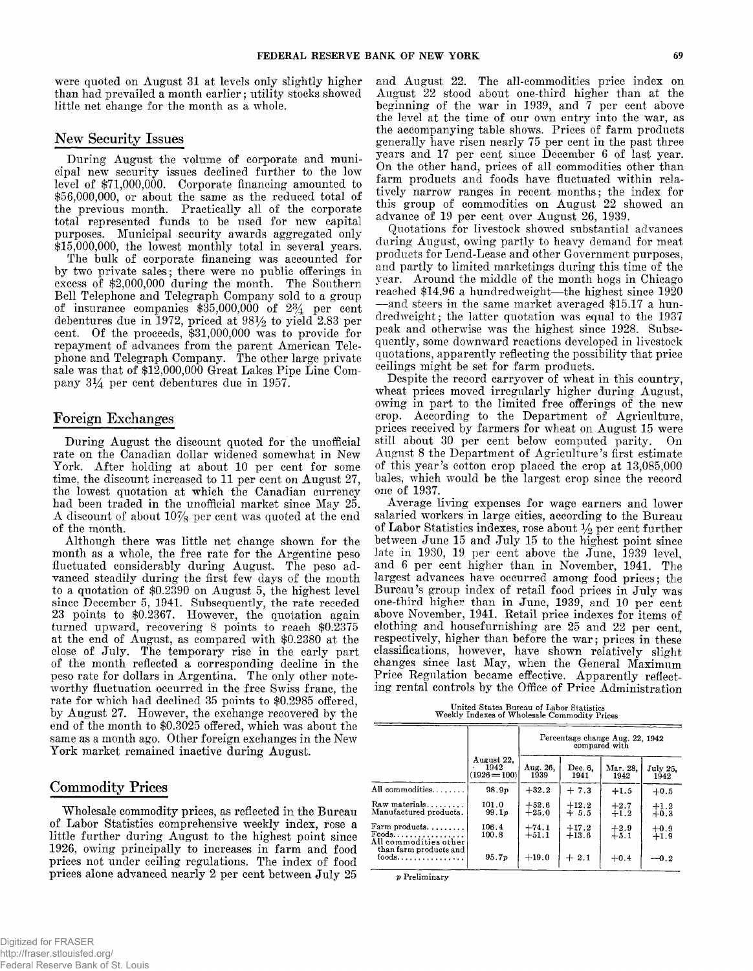**were quoted on August 31 at levels only slightly higher than had prevailed a month earlier; utility stocks showed little net change for the month as a whole.**

## New Security Issues

**During August the volume of corporate and municipal new security issues declined further to the low level of \$71,000,000. Corporate financing amounted to \$56,000,000, or about the same as the reduced total of the previous month. Practically all of the corporate total represented funds to be used for new capital purposes. Municipal security awards aggregated only \$15,000,000, the lowest monthly total in several years.**

**The bulk of corporate financing was accounted for by two private sales; there were no public offerings in excess of \$2,000,000 during the month. The Southern Bell Telephone and Telegraph Company sold to a group of insurance companies \$35,000,000 of** *2 %* **per cent debentures due in 1972, priced at 98% to yield 2.83 per cent. Of the proceeds, \$31,000,000 was to provide for repayment of advances from the parent American Telephone and Telegraph Company. The other large private sale was that of \$12,000,000 Great Lakes Pipe Line Company 3^4 per cent debentures due in 1957.**

## **Foreign Exchanges**

**During August the discount quoted for the unofficial rate on the Canadian dollar widened somewhat in New York. After holding at about 10 per cent for some time, the discount increased to 11 per cent on August 27, the lowest quotation at which the Canadian currency had been traded in the unofficial market since May 25. A discount of about 10% per cent was quoted at the end of the month.**

**Although there was little net change shown for the month as a whole, the free rate for the Argentine peso fluctuated considerably during August. The peso advanced steadily during the first few days of the month to a quotation of \$0.2390 on August 5, the highest level since December 5, 1941. Subsequently, the rate receded 23 points to \$0.2367. However, the quotation again turned upward, recovering 8 points to reach \$0.2375 at the end of August, as compared with \$0.2380 at the close of July. The temporary rise in the early part of the month reflected a corresponding decline in the peso rate for dollars in Argentina. The only other noteworthy fluctuation occurred in the free Swiss franc, the rate for which had declined 35 points to \$0.2985 offered, by August 27. However, the exchange recovered by the end of the month to \$0.3025 offered, which was about the same as a month ago. Other foreign exchanges in the New York market remained inactive during August.**

## **C om m odity Prices**

**Wholesale commodity prices, as reflected in the Bureau of Labor Statistics comprehensive weekly index, rose a little further during August to the highest point since 1926, owing principally to increases in farm and food prices not under ceiling regulations. The index of food prices alone advanced nearly 2 per cent between July 25**

**and August 22. The all-commodities price index on August 22 stood about one-third higher than at the beginning of the war in 1939, and 7 per cent above the level at the time of our own entry into the war, as the accompanying table shows. Prices of farm products generally have risen nearly 75 per cent in the past three years and 17 per cent since December 6 of last year. On the other hand, prices of all commodities other than farm products and foods have fluctuated within relatively narrow ranges in recent months; the index for this group of commodities on August 22 showed an advance of 19 per cent over August 26, 1939.**

**Quotations for livestock showed substantial advances during August, owing partly to heavy demand for meat products for Lend-Lease and other Government purposes, and partly to limited marketings during this time of the year. Around the middle of the month hogs in Chicago reached \$14.96 a hundredweight— the highest since 1920 — and steers in the same market averaged \$15.17 a hundredweight; the latter quotation was equal to the 1937 peak and otherwise was the highest since 1928. Subsequently, some downward reactions developed in livestock quotations, apparently reflecting the possibility that price ceilings might be set for farm products.**

**Despite the record carryover of wheat in this country, wheat prices moved irregularly higher during August, owing in part to the limited free offerings of the new crop. According to the Department of Agriculture, prices received by farmers for wheat on August 15 were still about 30 per cent below computed parity. On August 8 the Department of Agriculture's first estimate of this year's cotton crop placed the crop at 13,085,000 bales, which would be the largest crop since the record one of 1937.**

**Average living expenses for wage earners and lower salaried workers in large cities, according to the Bureau of Labor Statistics indexes, rose about V**2 **per cent further between June 15 and July 15 to the highest point since late in 1930, 19 per cent above the June, 1939 level, and 6 per cent higher than in November, 1941. The largest advances have occurred among food prices; the Bureau's group index of retail food prices in July was one-third higher than in June, 1939, and 10 per cent above November, 1941. Retail price indexes for items of clothing and housefurnishing are 25 and 22 per cent, respectively, higher than before the war; prices in these classifications, however, have shown relatively slight changes since last May, when the General Maximum Price Regulation became effective. Apparently reflecting rental controls by the Office of Price Administration**

**United States Bureau of Labor Statistics Weekly Indexes of Wholesale Commodity Prices**

|                                                           |                                      | Percentage change Aug. 22, 1942<br>compared with |                    |                  |                           |
|-----------------------------------------------------------|--------------------------------------|--------------------------------------------------|--------------------|------------------|---------------------------|
|                                                           | August 22.<br>1942<br>$(1926 = 100)$ | Aug. 26,<br>1939                                 | Dec. 6.<br>1941    | Mar. 28.<br>1942 | July 25.<br>1942          |
| All commodities                                           | 98.9 <sub>v</sub>                    | $+32.2$                                          | $+7.3$             | $+1.5$           | $+0.5$                    |
| $\mathbf{Raw}$ materials<br>Manufactured products.        | 101.0<br>99.1p                       | $+52.6$<br>$+25.0$                               | $^{+12.2}_{+5.5}$  | $^{+2.7}_{+1.2}$ | $\substack{+1.2 \\ +0.3}$ |
| Farm products. $\ldots$<br>Foods<br>All commodities other | 106.4<br>100.8                       | $+74.1$<br>$+51.1$                               | $+17.2$<br>$+13.6$ | $+2.9$<br>$+5.1$ | $^{+0.9}_{+1.9}$          |
| than farm products and<br>foods                           | <b>95.7p</b>                         | $+19.0$                                          | $+2.1$             | $+0.4$           | $-0.2$                    |

*p* **Preliminary**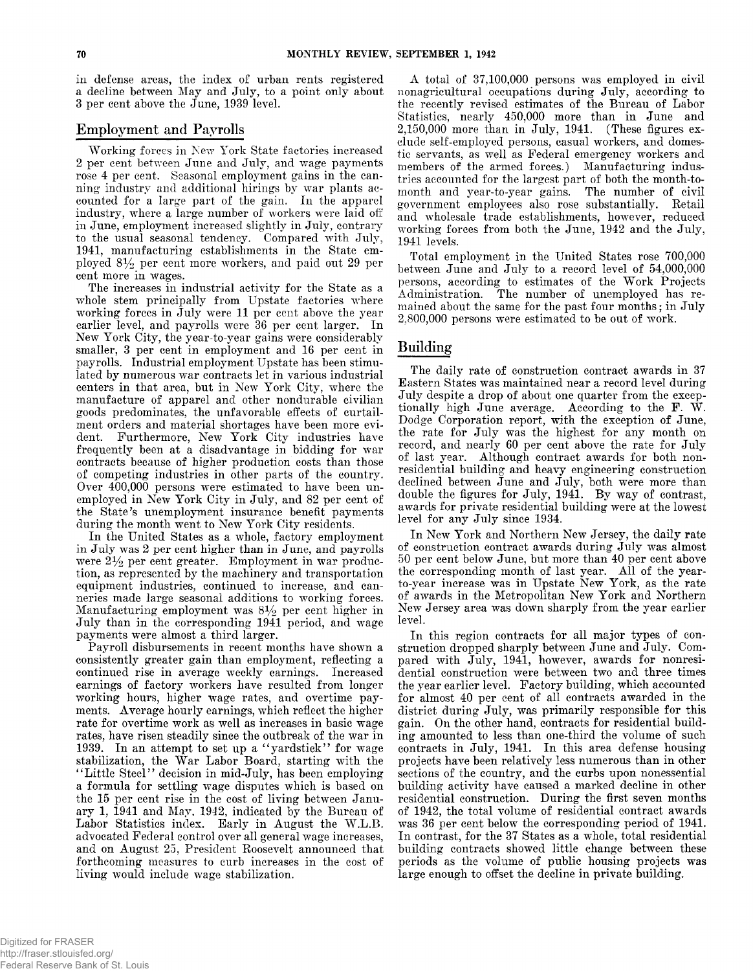**in defense areas, the index of urban rents registered a decline between May and July, to a point only about 3 per cent above the June, 1939 level.**

# **Employment and Payrolls**

**Working forces in New York State factories increased 2 per cent between June and July, and wage payments rose 4 per cent. Seasonal employment gains in the canning industry and additional hirings by war plants accounted for a large part of the gain. In the apparel industry, where a large number of workers were laid oft in June, employment increased slightly in July, contrary to the usual seasonal tendency. Compared with July, 1941, manufacturing establishments in the State employed** 8^/2 **per cent more workers, and paid out 29 per cent more in wages.**

**The increases in industrial activity for the State as a whole stem principally from Upstate factories where working forces in July were 11 per cent above the year earlier level, and payrolls were 36 per cent larger. In New York City, the year-to-year gains were considerably smaller, 3 per cent in employment and 16 per cent in payrolls. Industrial employment Upstate has been stimulated by numerous war contracts let in various industrial centers in that area, but in New York City, where the manufacture of apparel and other nondurable civilian goods predominates, the unfavorable effects of curtailment orders and material shortages have been more evident. Furthermore, New York City industries have frequently been at a disadvantage in bidding for war contracts because of higher production costs than those of competing industries in other parts of the country. Over 400,000 persons were estimated to have been unemployed in New York City in July, and 82 per cent of the State's unemployment insurance benefit payments during the month went to New York City residents.**

**In the United States as a whole, factory employment in July was** 2 **per cent higher than in June, and payrolls** were  $2\frac{1}{2}$  per cent greater. Employment in war produc**tion, as represented by the machinery and transportation equipment industries, continued to increase, and canneries made large seasonal additions to working forces. Manufacturing employment was** 8^2 **per cent higher in July than in the corresponding 1941 period, and wage payments were almost a third larger.**

**Payroll disbursements in recent months have shown a consistently greater gain than employment, reflecting a continued rise in average weekly earnings. Increased earnings of factory workers have resulted from longer working hours, higher wage rates, and overtime payments. Average hourly earnings, which reflect the higher rate for overtime work as well as increases in basic wage rates, have risen steadily since the outbreak of the war in 1939. In an attempt to set up a " yardstick" for wage stabilization, the War Labor Board, starting with the " Little Steel" decision in mid-July, has been employing a formula for settling wage disputes which is based on the 15 per cent rise in the cost of living between January 1, 1941 and May, 1942, indicated by the Bureau of Labor Statistics index. Early in August the W.L.B. advocated Federal control over all general wage increases, and on August 25, President Roosevelt announced that forthcoming measures to curb increases in the cost of living would include wage stabilization.**

**A total of 37,100,000 persons was employed in civil nonagricultural occupations during July, according to the recently revised estimates of the Bureau of Labor Statistics, nearly 450,000 more than in June and 2.150.000 more than in July, 1941. (These figures exclude self-employed persons, casual workers, and domestic servants, as well as Federal emergency workers and members of the armed forces.) Manufacturing industries accounted for the largest part of both the month-tomonth and year-to-year gains. The number of civil government employees also rose substantially. Retail and wholesale trade establishments, however, reduced working forces from both the June, 1942 and the July, 1941 levels.**

**Total employment in the United States rose 700,000 between June and July to a record level of 54,000,000 persons, according to estimates of the Work Projects Administration. The number of unemployed has remained about the same for the past four months; in July 2.800.000 persons were estimated to be out of work.**

# **Building**

**The daily rate of construction contract awards in 37 Eastern States was maintained near a record level during July despite a drop of about one quarter from the exceptionally high June average. According to the F. W. Dodge Corporation report, with the exception of June, the rate for July was the highest for any month on record, and nearly 60 per cent above the rate for July of last year. Although contract awards for both nonresidential building and heavy engineering construction declined between June and July, both were more than double the figures for July, 1941. By way of contrast, awards for private residential building were at the lowest level for any July since 1934.**

**In New York and Northern New Jersey, the daily rate of construction contract awards during July was almost 50 per cent below June, but more than 40 per cent above the corresponding month of last year. All of the yearto-year increase was in Upstate New York, as the rate of awards in the Metropolitan New York and Northern New Jersey area was down sharply from the year earlier level.**

**In this region contracts for all major types of construction dropped sharply between June and July. Compared with July, 1941, however, awards for nonresidential construction were between two and three times the year earlier level. Factory building, which accounted for almost 40 per cent of all contracts awarded in the district during July, was primarily responsible for this gain. On the other hand, contracts for residential building amounted to less than one-third the volume of such contracts in July, 1941. In this area defense housing projects have been relatively less numerous than in other sections of the country, and the curbs upon nonessential building activity have caused a marked decline in other residential construction. During the first seven months of 1942, the total volume of residential contract awards was 36 per cent below the corresponding period of 1941. In contrast, for the 37 States as a whole, total residential building contracts showed little change between these periods as the volume of public housing projects was large enough to offset the decline in private building.**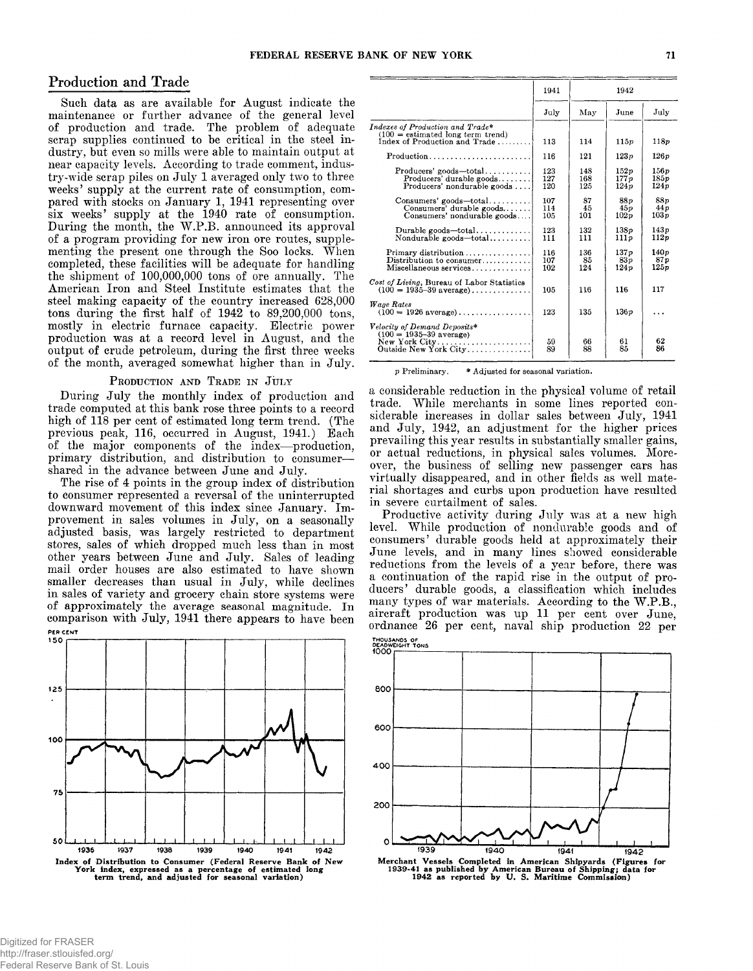# **Production and Trade**

**Such data as are available for August indicate the maintenance or further advance of the general level of production and trade. The problem of adequate scrap supplies continued to be critical in the steel industry, but even so mills were able to maintain output at near capacity levels. According to trade comment, industry-wide scrap piles on July 1 averaged only two to three weeks' supply at the current rate of consumption, compared with stocks on January 1, 1941 representing over six weeks' supply at the 1940 rate of consumption. During the month, the W.P.B. announced its approval of a program providing for new iron ore routes, supplementing the present one through the Soo locks. When completed, these facilities will be adequate for handling the shipment of 100,000,000 tons of ore annually. The American Iron and Steel Institute estimates that the steel making capacity of the country increased 628,000 tons during the first half of 1942 to 89,200,000 tons, mostly in electric furnace capacity. Electric power production was at a record level in August, and the output of crude petroleum, during the first three weeks of the month, averaged somewhat higher than in July.**

#### **Production and Trade in July**

**During July the monthly index of production and trade computed at this bank rose three points to a record high of 118 per cent of estimated long term trend. (The previous peak, 116, occurred in August, 1941.) Each of the major components of the index— production, primary distribution, and distribution to consumer shared in the advance between June and July.**

**The rise of 4 points in the group index of distribution to consumer represented a reversal of the uninterrupted downward movement of this index since January. Improvement in sales volumes in July, on a seasonally adjusted basis, was largely restricted to department stores, sales of which dropped much less than in most other years between June and July. Sales of leading mail order houses are also estimated to have shown smaller decreases than usual in July, while declines in sales of variety and grocery chain store systems were of approximately the average seasonal magnitude. In comparison with July, 1941 there appears to have been** PER CENT



|                                                                                                                                                    | 1941              |                   | 1942                             |                           |
|----------------------------------------------------------------------------------------------------------------------------------------------------|-------------------|-------------------|----------------------------------|---------------------------|
|                                                                                                                                                    | July              | May               | June                             | July                      |
| Indexes of Production and Trade*<br>$(100 =$ estimated long term trend)<br>Index of Production and Trade                                           | 113               | 114               | 115p                             | 118p                      |
| $Production \dots \dots \dots \dots \dots \dots \dots \dots \dots$                                                                                 | 116               | 121               | 123n                             | 126p                      |
| $Producers' goods - total, \ldots, \ldots$<br>Producers' durable goods<br>Producers' nondurable goods                                              | 123<br>127<br>120 | 148<br>168<br>125 | 152p<br>177p<br>124p             | 156p<br>185p<br>124p      |
| $Consumes' goods - total \ldots$<br>Consumers' durable goods<br>Consumers' nondurable goods                                                        | 107<br>114<br>105 | 87<br>45<br>101   | 88p<br>45p<br>102p               | <b>88p</b><br>44p<br>103p |
| Durable goods—total<br>Nondurable goods—total                                                                                                      | 123<br>111        | 132<br>111        | 138p<br>111v                     | 143p<br>112p              |
| Primary distribution $\ldots \ldots \ldots \ldots$<br>Distribution to consumer<br>Miscellaneous services                                           | 116<br>107<br>102 | 136<br>85<br>124  | 137p<br>83 p<br>124 <sub>p</sub> | 140p<br>87 p<br>125p      |
| Cost of Living, Bureau of Labor Statistics<br>$(100 - 1935 - 39$ average)                                                                          | 105               | 116               | 116                              | 117                       |
| Wage Rates<br>$(100 = 1926 \text{ average}) \dots \dots \dots \dots \dots$                                                                         | 123               | 135               | 136p                             |                           |
| Velocity of Demand Deposits*<br>$(100 = 1935 - 39 \text{ average})$<br>$New York City \ldots \ldots \ldots \ldots \ldots$<br>Outside New York City | 59<br>89          | 66<br>88          | 61<br>85                         | 62<br>86                  |

**p Preliminary. \* Adjusted for seasonal variation.**

**a considerable reduction in the physical volume of retail trade. While merchants in some lines reported considerable increases in dollar sales between July, 1941 and July, 1942, an adjustment for the higher prices prevailing this year results in substantially smaller gains, or actual reductions, in physical sales volumes. Moreover, the business of selling new passenger cars has virtually disappeared, and in other fields as well material shortages and curbs upon production have resulted in severe curtailment of sales.**

**Productive activity during July was at a new high level. While production of nondurable goods and of consumers' durable goods held at approximately their June levels, and in many lines showed considerable reductions from the levels of a year before, there was a continuation of the rapid rise in the output of producers' durable goods, a classification which includes many types of war materials. According to the W.P.B., aircraft production was up 11 per cent over June, ordnance 26 per cent, naval ship production 22 per**



**1939-41 as published by Am erican Bureau of Shipping; data for 1942 as reported by U . S. M aritim e Com m ission)**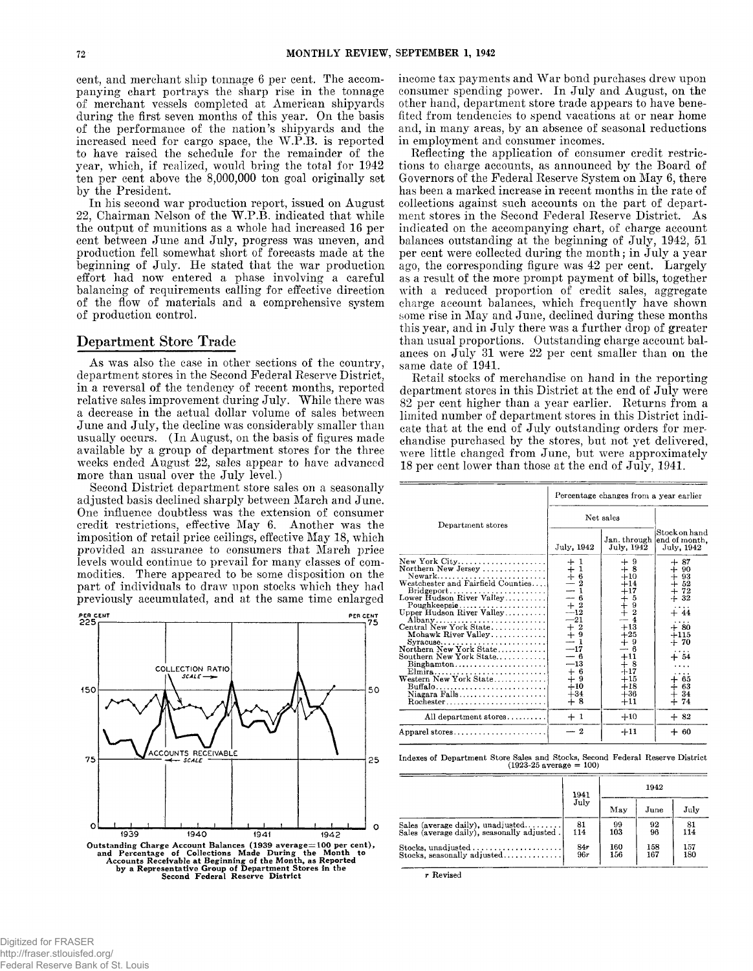**cent, and merchant ship tonnage 6 per cent. The accompanying chart portrays the sharp rise in the tonnage of merchant vessels completed at American shipyards during the first seven months of this year. On the basis of the performance of the nation's shipyards and the increased need for cargo space, the W.P.B. is reported to have raised the schedule for the remainder of the year, which, if realized, would bring the total for 1942 ten per cent above the 8,000,000 ton goal originally set by the President.**

**In his second war production report, issued on August 22, Chairman Nelson of the W.P.B. indicated that while the output of munitions as a whole had increased 16 per cent between June and July, progress was uneven, and production fell somewhat short of forecasts made at the beginning of July. He stated that the war production effort had now entered a phase involving a careful balancing of requirements calling for effective direction of the flow of materials and a comprehensive system of production control.**

# **Department Store Trade**

**As was also the case in other sections of the country, department stores in the Second Federal Reserve District, in a reversal of the tendency of recent months, reported relative sales improvement during July. While there was a decrease in the actual dollar volume of sales between June and July, the decline was considerably smaller than usually occurs. (In August, on the basis of figures made available by a group of department stores for the three weeks ended August 22, sales appear to have advanced more than usual over the July level.)**

**Second District department store sales on a seasonally adjusted basis declined sharply between March and June. One influence doubtless was the extension of consumer credit restrictions, effective May 6. Another was the imposition of retail price ceilings, effective May 18, which provided an assurance to consumers that March price levels would continue to prevail for many classes of commodities. There appeared to be some disposition on the part of individuals to draw upon stocks which they had previously accumulated, and at the same time enlarged**



**income tax payments and War bond purchases drew upon consumer spending power. In July and August, on the other hand, department store trade appears to have benefited from tendencies to spend vacations at or near home and, in many areas, by an absence of seasonal reductions in employment and consumer incomes.**

**Reflecting the application of consumer credit restrictions to charge accounts, as announced by the Board of Governors of the Federal Reserve System on May 6, there has been a marked increase in recent months in the rate of collections against such accounts on the part of department stores in the Second Federal Reserve District. As indicated on the accompanying chart, of charge account balances outstanding at the beginning of July, 1942, 51 per cent were collected during the month; in July a year ago, the corresponding figure was 42 per cent. Largely as a result of the more prompt payment of bills, together with a reduced proportion of credit sales, aggregate charge account balances, which frequently have shown some rise in May and June, declined during these months this year, and in July there was a further drop of greater than usual proportions. Outstanding charge account balances on July 31 were 22 per cent smaller than on the same date of 1941.**

**Retail stocks of merchandise on hand in the reporting department stores in this District at the end of July were 82 per cent higher than a year earlier. Returns from a limited number of department stores in this District indicate that at the end of July outstanding orders for merchandise purchased by the stores, but not yet delivered, were little changed from June, but were approximately 18 per cent lower than those at the end of July, 1941.**

|                                                                                                                                                                                                                                                                                                                                                                                                                                                                                                                                                                                        | Percentage changes from a year earlier                                                                                                                                       |                                                                                                                                                                                     |                                                                                                                                                 |  |  |
|----------------------------------------------------------------------------------------------------------------------------------------------------------------------------------------------------------------------------------------------------------------------------------------------------------------------------------------------------------------------------------------------------------------------------------------------------------------------------------------------------------------------------------------------------------------------------------------|------------------------------------------------------------------------------------------------------------------------------------------------------------------------------|-------------------------------------------------------------------------------------------------------------------------------------------------------------------------------------|-------------------------------------------------------------------------------------------------------------------------------------------------|--|--|
| Department stores                                                                                                                                                                                                                                                                                                                                                                                                                                                                                                                                                                      | Net sales                                                                                                                                                                    |                                                                                                                                                                                     |                                                                                                                                                 |  |  |
|                                                                                                                                                                                                                                                                                                                                                                                                                                                                                                                                                                                        | July, 1942                                                                                                                                                                   | July, 1942                                                                                                                                                                          | Stock on hand<br>Jan. through lend of month.<br>July, 1942                                                                                      |  |  |
| $New York City \ldots \ldots \ldots \ldots \ldots$<br>Northern New Jersey<br>Westchester and Fairfield Counties<br>$Bridgeport \ldots \ldots \ldots$<br>Lower Hudson River Valley<br>Poughkeepsie<br>Upper Hudson River Valley<br>Albany<br>Central New York State<br>Mohawk River Valley<br>Syracuse<br>Northern New York State<br>Southern New York State<br>$Binghamton \ldots \ldots \ldots \ldots \ldots \ldots$<br>Elmira<br>Western New York State<br>$\text{Buffalo} \dots \dots \dots \dots \dots \dots \dots \dots$<br>Niagara Falls<br>$Rochester$<br>All department stores | $+1$<br>$+1$<br>$+6$<br>$-2$<br>$-1$<br>$\frac{1}{2}$<br>$-12$<br>$-21$<br>$+2$<br>$+9$<br>$-17$<br>$-17$<br>$-6$<br>$-13$<br>$+6$<br>$+9$<br>$+10$<br>$+34$<br>$+8$<br>$+1$ | $+9$<br>$+8$<br>$+10$<br>$+14$<br>$+17$<br>$+ 5$<br>$+ 9$<br>$+ 2$<br>$- 4$<br>$+13$<br>$+25$<br>$+9$<br>— ჩ<br>$+11$<br>$+8$<br>$+17$<br>$+15$<br>$+18$<br>$+36$<br>$+11$<br>$+10$ | $+87$<br>$+90$<br>$+93$<br>$+52$<br>$+72$<br>32<br>$+$ 44<br>.<br>$+80$<br>$+115$<br>-+ 70<br>- 54<br>+ 65<br>$+$ 63<br>$+34$<br>$+74$<br>$+82$ |  |  |
| Apparel stores                                                                                                                                                                                                                                                                                                                                                                                                                                                                                                                                                                         | $-2$                                                                                                                                                                         | $+11$                                                                                                                                                                               | $+60$                                                                                                                                           |  |  |

**Indexes of Department Store Sales and Stocks, Second Federal Reserve District (1923-25 average = 100)**

|                                                     | 1941<br>July | 1942 |      |      |
|-----------------------------------------------------|--------------|------|------|------|
|                                                     |              | May  | June | July |
| Sales (average daily), unadjusted                   | 81           | 99   | 92   | 81   |
| Sales (average daily), seasonally adjusted.         | 114          | 103  | 96   | 114  |
| Stocks, unadjusted $\ldots, \ldots, \ldots, \ldots$ | 84r          | 160  | 158  | 157  |
| Stocks, seasonally adjusted                         | 96r          | 156  | 167  | 180  |

*r* Revised